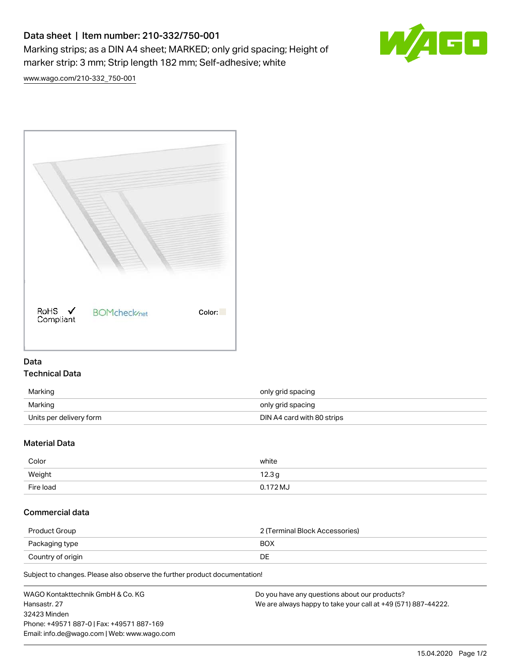## Data sheet | Item number: 210-332/750-001

Marking strips; as a DIN A4 sheet; MARKED; only grid spacing; Height of marker strip: 3 mm; Strip length 182 mm; Self-adhesive; white



[www.wago.com/210-332\\_750-001](http://www.wago.com/210-332_750-001)



## Data Technical Data

| Marking                 | only grid spacing          |
|-------------------------|----------------------------|
| Marking                 | only grid spacing          |
| Units per delivery form | DIN A4 card with 80 strips |

## Material Data

| Color     | white      |
|-----------|------------|
| Weight    | 12.3g      |
| Fire load | $0.172$ MJ |

## Commercial data

| Product Group     | 2 (Terminal Block Accessories) |
|-------------------|--------------------------------|
| Packaging type    | <b>BOX</b>                     |
| Country of origin | DE                             |

Subject to changes. Please also observe the further product documentation!

| WAGO Kontakttechnik GmbH & Co. KG           | Do you have any questions about our products?                 |
|---------------------------------------------|---------------------------------------------------------------|
| Hansastr. 27                                | We are always happy to take your call at +49 (571) 887-44222. |
| 32423 Minden                                |                                                               |
| Phone: +49571 887-0   Fax: +49571 887-169   |                                                               |
| Email: info.de@wago.com   Web: www.wago.com |                                                               |